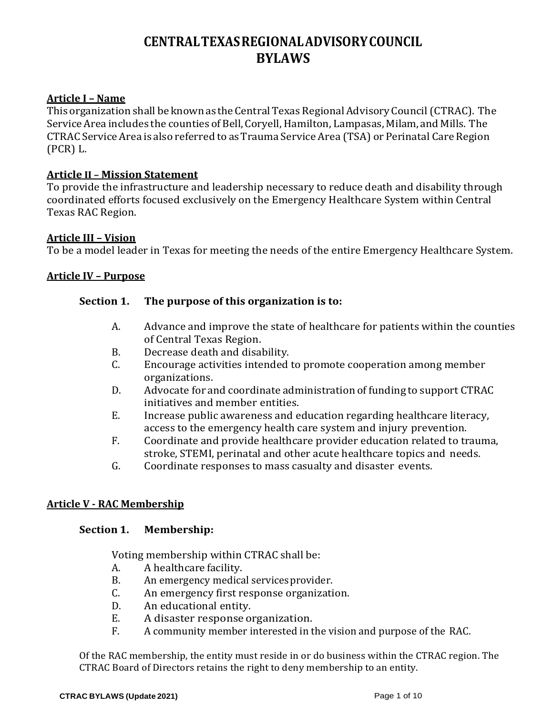## **CENTRALTEXASREGIONALADVISORYCOUNCIL BYLAWS**

#### **Article I – Name**

This organization shall be known as the Central Texas Regional Advisory Council (CTRAC). The Service Area includes the counties of Bell, Coryell, Hamilton, Lampasas, Milam, and Mills. The CTRAC Service Area is also referred to as Trauma Service Area (TSA) or Perinatal Care Region (PCR) L.

#### **Article II – Mission Statement**

To provide the infrastructure and leadership necessary to reduce death and disability through coordinated efforts focused exclusively on the Emergency Healthcare System within Central Texas RAC Region.

#### **Article III – Vision**

To be a model leader in Texas for meeting the needs of the entire Emergency Healthcare System.

#### **Article IV – Purpose**

#### **Section 1. The purpose of this organization is to:**

- A. Advance and improve the state of healthcare for patients within the counties of Central Texas Region.
- B. Decrease death and disability.<br>C. Encourage activities intended
- Encourage activities intended to promote cooperation among member organizations.
- D. Advocate for and coordinate administration of funding to support CTRAC initiatives and member entities.
- E. Increase public awareness and education regarding healthcare literacy, access to the emergency health care system and injury prevention.
- F. Coordinate and provide healthcare provider education related to trauma, stroke, STEMI, perinatal and other acute healthcare topics and needs.
- G. Coordinate responses to mass casualty and disaster events.

#### **Article V - RAC Membership**

#### **Section 1. Membership:**

Voting membership within CTRAC shall be:<br>A. A healthcare facility.

- A. A healthcare facility.<br>B. An emergency medica
- B. An emergency medical services provider.<br>C. An emergency first response organizati
- C. An emergency first response organization.<br>D. An educational entity.
- D. An educational entity.<br>E. A disaster response o
- E. A disaster response organization.<br>F. A community member interested in t
- A community member interested in the vision and purpose of the RAC.

Of the RAC membership, the entity must reside in or do business within the CTRAC region. The CTRAC Board of Directors retains the right to deny membership to an entity.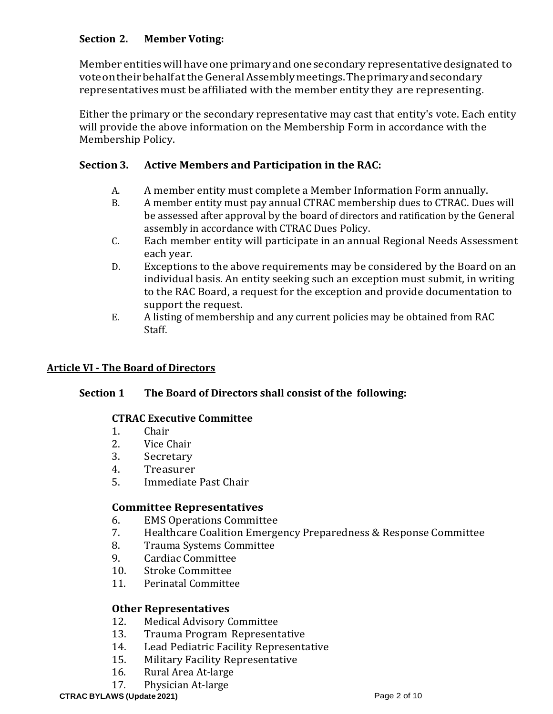## **Section 2. Member Voting:**

Member entities will have one primary and one secondary representative designated to voteontheirbehalfattheGeneralAssemblymeetings.Theprimaryandsecondary representativesmust be affiliated with the member entity they are representing.

Either the primary or the secondary representative may cast that entity's vote. Each entity will provide the above information on the Membership Form in accordance with the Membership Policy.

## **Section 3. Active Members and Participation in the RAC:**

- A. A member entity must complete a Member Information Form annually.<br>B. A member entity must pay annual CTRAC membership dues to CTRAC. Due
- B. A member entity must pay annual CTRAC membership dues to CTRAC. Dues will be assessed after approval by the board of directors and ratification by the General assembly in accordance with CTRAC Dues Policy.
- C. Each member entity will participate in an annual Regional Needs Assessment each year.
- D. Exceptions to the above requirements may be considered by the Board on an individual basis. An entity seeking such an exception must submit, in writing to the RAC Board, a request for the exception and provide documentation to support the request.
- E. A listing of membership and any current policies may be obtained from RAC Staff.

## **Article VI - The Board of Directors**

## **Section 1 The Board of Directors shall consist of the following:**

#### **CTRAC Executive Committee**

- 1. Chair<br>2. Vice C
- 2. Vice Chair<br>3. Secretary
- 3. Secretary<br>4. Treasurer
- 4. Treasurer<br>5. Immediate
- 5. Immediate Past Chair

#### **Committee Representatives**

- 6. EMS Operations Committee
- 7. Healthcare Coalition Emergency Preparedness & Response Committee
- 8. Trauma Systems Committee<br>9. Cardiac Committee
- 9. Cardiac Committee<br>10. Stroke Committee
- 10. Stroke Committee<br>11. Perinatal Committe
- 11. Perinatal Committee

#### **Other Representatives**

- 12. Medical Advisory Committee<br>13. Trauma Program Represent
- 13. Trauma Program Representative<br>14. Lead Pediatric Facility Representa
- 14. Lead Pediatric Facility Representative<br>15. Military Facility Representative
- 15. Military Facility Representative<br>16. Rural Area At-large
- 16. Rural Area At-large<br>17. Physician At-large
- Physician At-large

#### **CTRAC BYLAWS (Update 2021)** Page 2 of 10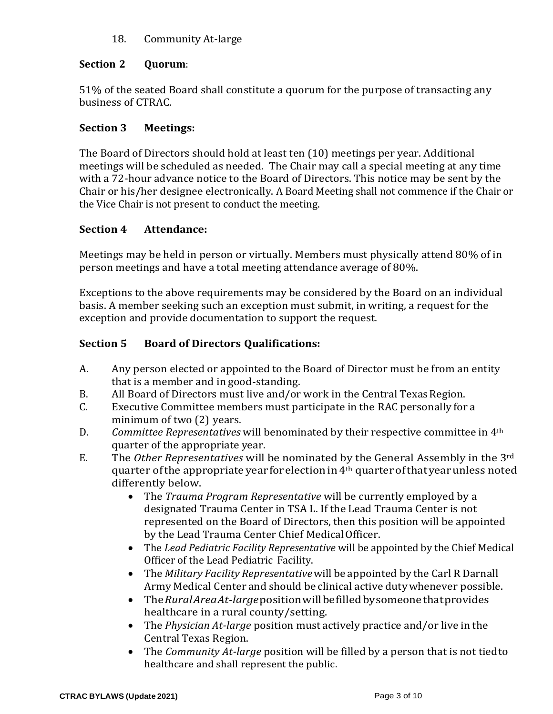## 18. Community At-large

## **Section 2 Quorum**:

51% of the seated Board shall constitute a quorum for the purpose of transacting any business of CTRAC.

## **Section 3 Meetings:**

The Board of Directors should hold at least ten (10) meetings per year. Additional meetings will be scheduled as needed. The Chair may call a special meeting at any time with a 72-hour advance notice to the Board of Directors. This notice may be sent by the Chair or his/her designee electronically. A Board Meeting shall not commence if the Chair or the Vice Chair is not present to conduct the meeting.

## **Section 4 Attendance:**

Meetings may be held in person or virtually. Members must physically attend 80% of in person meetings and have a total meeting attendance average of 80%.

Exceptions to the above requirements may be considered by the Board on an individual basis. A member seeking such an exception must submit, in writing, a request for the exception and provide documentation to support the request.

## **Section 5 Board of Directors Qualifications:**

- A. Any person elected or appointed to the Board of Director must be from an entity that is a member and in good-standing.
- B. All Board of Directors must live and/or work in the Central Texas Region.<br>C. Executive Committee members must participate in the RAC personally for
- Executive Committee members must participate in the RAC personally for a minimum of two (2) years.
- D. *Committee Representatives* will benominated by their respective committee in 4th quarter of the appropriate year.
- E. The *Other Representatives* will be nominated by the General Assembly in the 3rd quarter of the appropriate year for election in 4<sup>th</sup> quarter of that year unless noted differently below.
	- The *Trauma Program Representative* will be currently employed by a designated Trauma Center in TSA L. If the Lead Trauma Center is not represented on the Board of Directors, then this position will be appointed by the Lead Trauma Center Chief MedicalOfficer.
	- The *Lead Pediatric Facility Representative* will be appointed by the Chief Medical Officer of the Lead Pediatric Facility.
	- The *Military Facility Representative*will be appointed by the Carl R Darnall Army Medical Center and should be clinical active dutywhenever possible.
	- The*RuralAreaAt-large*positionwillbefilledbysomeonethatprovides healthcare in a rural county/setting.
	- The *Physician At-large* position must actively practice and/or live in the Central Texas Region.
	- The *Community At-large* position will be filled by a person that is not tiedto healthcare and shall represent the public.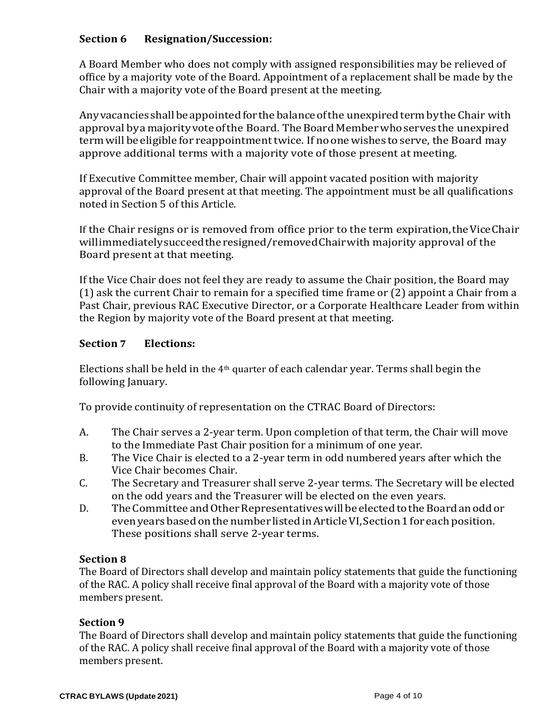## **Section 6 Resignation/Succession:**

A Board Member who does not comply with assigned responsibilities may be relieved of office by a majority vote of the Board. Appointment of a replacement shall be made by the Chair with a majority vote of the Board present at the meeting.

Anyvacanciesshallbeappointedforthe balanceofthe unexpiredtermbythe Chair with approval by a majority vote of the Board. The Board Member who serves the unexpired term will beeligible for reappointment twice. If noonewishes to serve, the Board may approve additional terms with a majority vote of those present at meeting.

If Executive Committee member, Chair will appoint vacated position with majority approval of the Board present at that meeting. The appointment must be all qualifications noted in Section 5 of this Article.

If the Chair resigns or is removed from office prior to the term expiration,theViceChair willimmediatelysucceedtheresigned/removedChairwith majority approval of the Board present at that meeting.

If the Vice Chair does not feel they are ready to assume the Chair position, the Board may (1) ask the current Chair to remain for a specified time frame or (2) appoint a Chair from a Past Chair, previous RAC Executive Director, or a Corporate Healthcare Leader from within the Region by majority vote of the Board present at that meeting.

#### **Section 7 Elections:**

Elections shall be held in the  $4<sup>th</sup>$  quarter of each calendar year. Terms shall begin the following January.

To provide continuity of representation on the CTRAC Board of Directors:

- A. The Chair serves a 2-year term. Upon completion of that term, the Chair will move to the Immediate Past Chair position for a minimum of one year.
- B. The Vice Chair is elected to a 2-year term in odd numbered years after which the Vice Chair becomes Chair.
- C. The Secretary and Treasurer shall serve 2-year terms. The Secretary will be elected on the odd years and the Treasurer will be elected on the even years.
- D. The Committee and Other Representatives will be elected to the Board an odd or evenyearsbasedonthe number listed inArticleVI,Section1foreach position. These positions shall serve 2-year terms.

#### **Section 8**

The Board of Directors shall develop and maintain policy statements that guide the functioning of the RAC. A policy shall receive final approval of the Board with a majority vote of those members present.

#### **Section 9**

The Board of Directors shall develop and maintain policy statements that guide the functioning of the RAC. A policy shall receive final approval of the Board with a majority vote of those members present.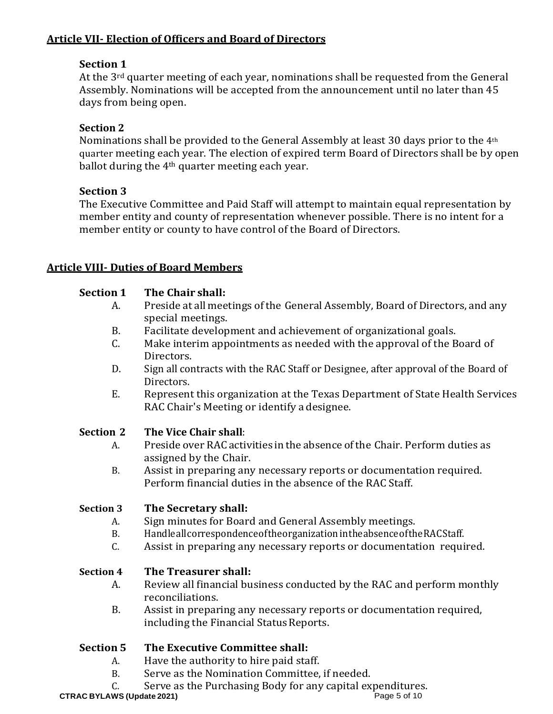## **Article VII- Election of Officers and Board of Directors**

## **Section 1**

At the 3<sup>rd</sup> quarter meeting of each year, nominations shall be requested from the General Assembly. Nominations will be accepted from the announcement until no later than 45 days from being open.

## **Section 2**

Nominations shall be provided to the General Assembly at least 30 days prior to the 4th quarter meeting each year. The election of expired term Board of Directors shall be by open ballot during the  $4<sup>th</sup>$  quarter meeting each year.

## **Section 3**

The Executive Committee and Paid Staff will attempt to maintain equal representation by member entity and county of representation whenever possible. There is no intent for a member entity or county to have control of the Board of Directors.

## **Article VIII- Duties of Board Members**

## **Section 1 The Chair shall:**

- A. Preside at all meetings of the General Assembly, Board of Directors, and any special meetings.
- B. Facilitate development and achievement of organizational goals.<br>C. Make interim appointments as needed with the approval of the B
- Make interim appointments as needed with the approval of the Board of Directors.
- D. Sign all contracts with the RAC Staff or Designee, after approval of the Board of Directors.
- E. Represent this organization at the Texas Department of State Health Services RAC Chair's Meeting or identify a designee.

# **Section 2 • The Vice Chair shall:**<br>A. Preside over RAC actional

- A. Preside over RAC activities inthe absence ofthe Chair. Perform duties as assigned by the Chair.
- B. Assist in preparing any necessary reports or documentation required. Perform financial duties in the absence of the RAC Staff.

## **Section 3 The Secretary shall:**

- A. Sign minutes for Board and General Assembly meetings.<br>B. Handleallcorrespondence of the organization in the absence of the
- B. Handleallcorrespondenceoftheorganization in the absence of the RACS taff.<br>C. Assist in preparing any necessary reports or documentation requi
- Assist in preparing any necessary reports or documentation required.

## **Section 4 The Treasurer shall:**

- A. Review all financial business conducted by the RAC and perform monthly reconciliations.
- B. Assist in preparing any necessary reports or documentation required, including the Financial Status Reports.

## **Section 5 The Executive Committee shall:**

- A. Have the authority to hire paid staff.<br>B. Serve as the Nomination Committee.
- Serve as the Nomination Committee, if needed.
- C. Serve as the Purchasing Body for any capital expenditures.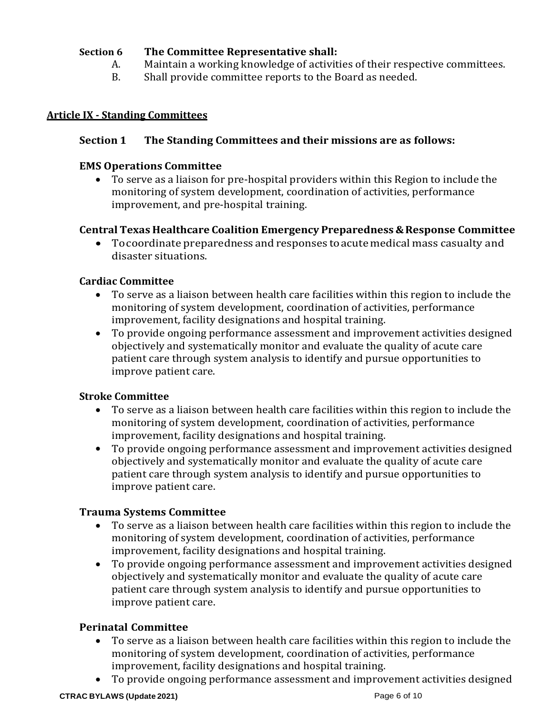#### **Section 6 The Committee Representative shall:**

- A. Maintain a working knowledge of activities of their respective committees.<br>B. Shall provide committee reports to the Board as needed.
- Shall provide committee reports to the Board as needed.

#### **Article IX - Standing Committees**

#### **Section 1 The Standing Committees and their missions are as follows:**

#### **EMS Operations Committee**

• To serve as a liaison for pre-hospital providers within this Region to include the monitoring of system development, coordination of activities, performance improvement, and pre-hospital training.

#### **Central Texas Healthcare Coalition Emergency Preparedness &Response Committee**

• Tocoordinate preparedness and responses toacute medical mass casualty and disaster situations.

#### **Cardiac Committee**

- To serve as a liaison between health care facilities within this region to include the monitoring of system development, coordination of activities, performance improvement, facility designations and hospital training.
- To provide ongoing performance assessment and improvement activities designed objectively and systematically monitor and evaluate the quality of acute care patient care through system analysis to identify and pursue opportunities to improve patient care.

#### **Stroke Committee**

- To serve as a liaison between health care facilities within this region to include the monitoring of system development, coordination of activities, performance improvement, facility designations and hospital training.
- To provide ongoing performance assessment and improvement activities designed objectively and systematically monitor and evaluate the quality of acute care patient care through system analysis to identify and pursue opportunities to improve patient care.

#### **Trauma Systems Committee**

- To serve as a liaison between health care facilities within this region to include the monitoring of system development, coordination of activities, performance improvement, facility designations and hospital training.
- To provide ongoing performance assessment and improvement activities designed objectively and systematically monitor and evaluate the quality of acute care patient care through system analysis to identify and pursue opportunities to improve patient care.

#### **Perinatal Committee**

- To serve as a liaison between health care facilities within this region to include the monitoring of system development, coordination of activities, performance improvement, facility designations and hospital training.
- To provide ongoing performance assessment and improvement activities designed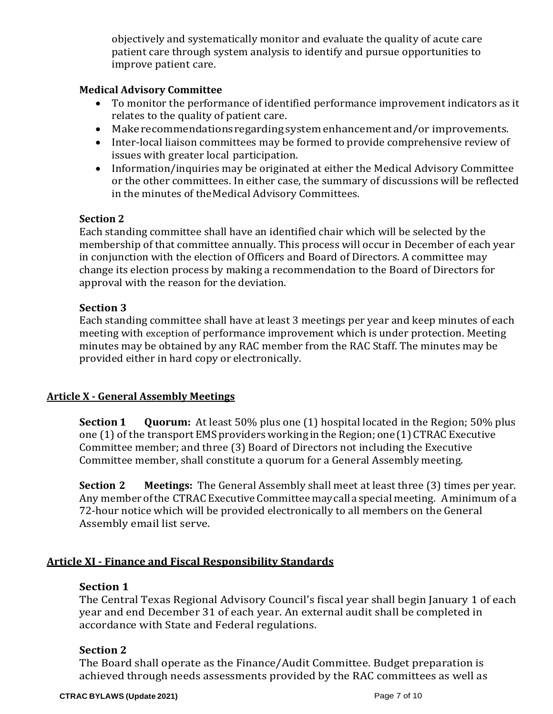objectively and systematically monitor and evaluate the quality of acute care patient care through system analysis to identify and pursue opportunities to improve patient care.

#### **Medical Advisory Committee**

- To monitor the performance of identified performance improvement indicators as it relates to the quality of patient care.
- Make recommendationsregardingsystemenhancementand/or improvements.
- Inter-local liaison committees may be formed to provide comprehensive review of issues with greater local participation.
- Information/inquiries may be originated at either the Medical Advisory Committee or the other committees. In either case, the summary of discussions will be reflected in the minutes of theMedical Advisory Committees.

### **Section 2**

Each standing committee shall have an identified chair which will be selected by the membership of that committee annually. This process will occur in December of each year in conjunction with the election of Officers and Board of Directors. A committee may change its election process by making a recommendation to the Board of Directors for approval with the reason for the deviation.

### **Section 3**

Each standing committee shall have at least 3 meetings per year and keep minutes of each meeting with exception of performance improvement which is under protection. Meeting minutes may be obtained by any RAC member from the RAC Staff. The minutes may be provided either in hard copy or electronically.

## **Article X - General Assembly Meetings**

**Section 1 Quorum:** At least 50% plus one (1) hospital located in the Region; 50% plus one  $(1)$  of the transport EMS providers working in the Region; one  $(1)$  CTRAC Executive Committee member; and three (3) Board of Directors not including the Executive Committee member, shall constitute a quorum for a General Assembly meeting.

**Section 2 Meetings:** The General Assembly shall meet at least three (3) times per year. Any memberofthe CTRAC Executive Committee maycallaspecial meeting. Aminimum of a 72-hour notice which will be provided electronically to all members on the General Assembly email list serve.

## **Article XI - Finance and Fiscal Responsibility Standards**

#### **Section 1**

The Central Texas Regional Advisory Council's fiscal year shall begin January 1 of each year and end December 31 of each year. An external audit shall be completed in accordance with State and Federal regulations.

#### **Section 2**

The Board shall operate as the Finance/Audit Committee. Budget preparation is achieved through needs assessments provided by the RAC committees as well as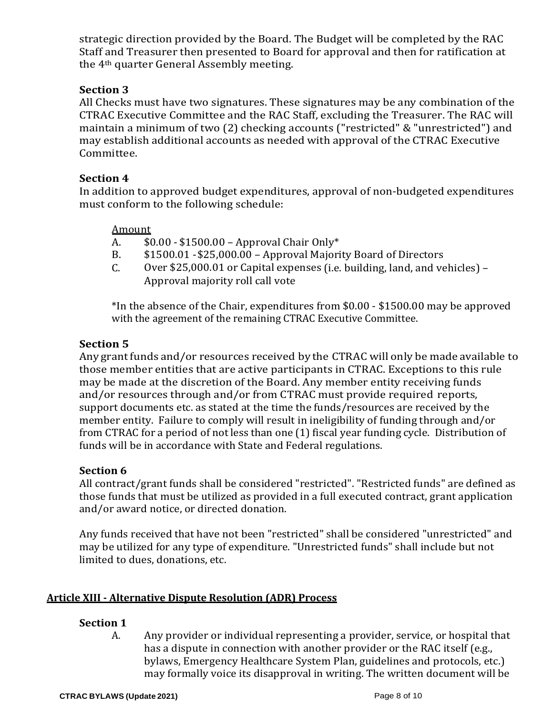strategic direction provided by the Board. The Budget will be completed by the RAC Staff and Treasurer then presented to Board for approval and then for ratification at the 4th quarter General Assembly meeting.

## **Section 3**

All Checks must have two signatures. These signatures may be any combination of the CTRAC Executive Committee and the RAC Staff, excluding the Treasurer. The RAC will maintain a minimum of two (2) checking accounts ("restricted" & "unrestricted") and may establish additional accounts as needed with approval of the CTRAC Executive Committee.

#### **Section 4**

In addition to approved budget expenditures, approval of non-budgeted expenditures must conform to the following schedule:

## Amount<br>A. \$0

- A. \$0.00 \$1500.00 Approval Chair Only\*<br>B. \$1500.01 \$25.000.00 Approval Majori
- B. \$1500.01 \$25,000.00 Approval Majority Board of Directors<br>C. Over \$25.000.01 or Capital expenses (i.e. building. land. and ve
- Over \$25,000.01 or Capital expenses (i.e. building, land, and vehicles) -Approval majority roll call vote

\*In the absence of the Chair, expenditures from \$0.00 - \$1500.00 may be approved with the agreement of the remaining CTRAC Executive Committee.

### **Section 5**

Any grant funds and/or resources received by the CTRAC will only be made available to those member entities that are active participants in CTRAC. Exceptions to this rule may be made at the discretion of the Board. Any member entity receiving funds and/or resources through and/or from CTRAC must provide required reports, support documents etc. as stated at the time the funds/resources are received by the member entity. Failure to comply will result in ineligibility of funding through and/or from CTRAC for a period of not less than one (1) fiscal year funding cycle. Distribution of funds will be in accordance with State and Federal regulations.

#### **Section 6**

All contract/grant funds shall be considered "restricted". "Restricted funds" are defined as those funds that must be utilized as provided in a full executed contract, grant application and/or award notice, or directed donation.

Any funds received that have not been "restricted" shall be considered "unrestricted" and may be utilized for any type of expenditure. "Unrestricted funds" shall include but not limited to dues, donations, etc.

## **Article XIII - Alternative Dispute Resolution (ADR) Process**

## **Section 1**

A. Any provider or individual representing a provider, service, or hospital that has a dispute in connection with another provider or the RAC itself (e.g., bylaws, Emergency Healthcare System Plan, guidelines and protocols, etc.) may formally voice its disapproval in writing. The written document will be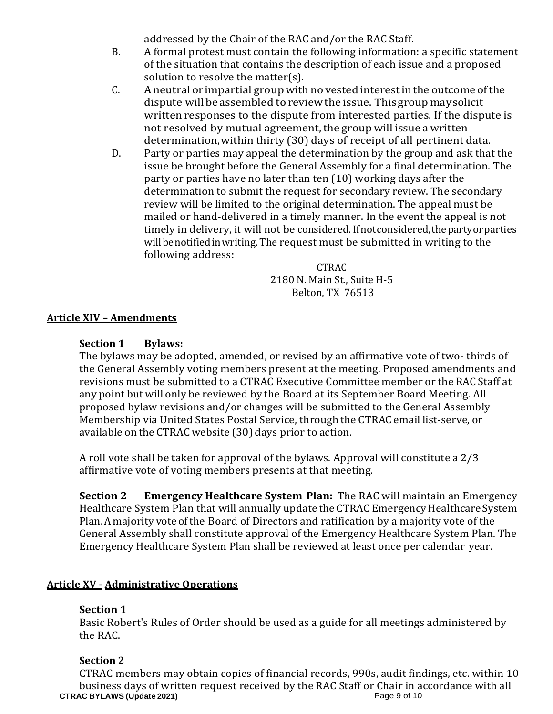addressed by the Chair of the RAC and/or the RAC Staff.

- B. A formal protest must contain the following information: a specific statement of the situation that contains the description of each issue and a proposed solution to resolve the matter(s).
- C. Aneutral or impartial groupwith novested interestinthe outcome ofthe dispute will beassembled to reviewthe issue. Thisgroup maysolicit written responses to the dispute from interested parties. If the dispute is not resolved by mutual agreement, the group will issue a written determination,within thirty (30) days of receipt of all pertinent data.
- D. Party or parties may appeal the determination by the group and ask that the issue be brought before the General Assembly for a final determination. The party or parties have no later than ten (10) working days after the determination to submit the request for secondary review. The secondary review will be limited to the original determination. The appeal must be mailed or hand-delivered in a timely manner. In the event the appeal is not timely in delivery, it will not be considered. If not considered, the party or parties willbenotifiedinwriting. The request must be submitted in writing to the following address:

#### CTRAC 2180 N. Main St., Suite H-5 Belton, TX 76513

#### **Article XIV – Amendments**

#### **Section 1 Bylaws:**

The bylaws may be adopted, amended, or revised by an affirmative vote of two- thirds of the General Assembly voting members present at the meeting. Proposed amendments and revisions must be submitted to a CTRAC Executive Committee member or the RAC Staff at any point but will only be reviewed by the Board at its September Board Meeting. All proposed bylaw revisions and/or changes will be submitted to the General Assembly Membership via United States Postal Service, through the CTRAC email list-serve, or available on the CTRAC website (30) days prior to action.

A roll vote shall be taken for approval of the bylaws. Approval will constitute a 2/3 affirmative vote of voting members presents at that meeting.

**Section 2 Emergency Healthcare System Plan:** The RAC will maintain an Emergency Healthcare System Plan that will annually update the CTRAC Emergency Healthcare System Plan.Amajority voteofthe Board of Directors and ratification by a majority vote of the General Assembly shall constitute approval of the Emergency Healthcare System Plan. The Emergency Healthcare System Plan shall be reviewed at least once per calendar year.

#### **Article XV - Administrative Operations**

#### **Section 1**

Basic Robert's Rules of Order should be used as a guide for all meetings administered by the RAC.

#### **Section 2**

**CTRAC BYLAWS (Update 2021)** Page 9 of 10 CTRAC members may obtain copies of financial records, 990s, audit findings, etc. within 10 business days of written request received by the RAC Staff or Chair in accordance with all